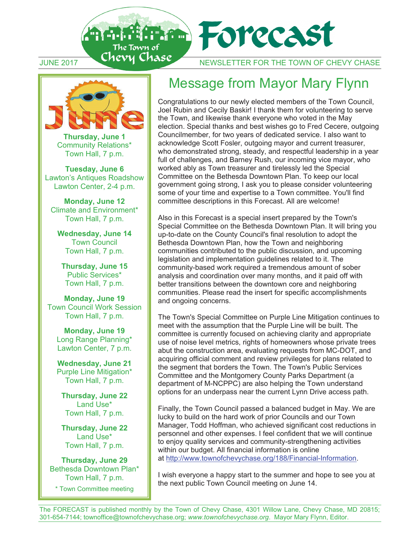TUNE 2017 CHEVY CHASE NEWSLETTER FOR THE TOWN OF CHEVY CHASE



The Town of

**Thursday, June 1** Community Relations\* Town Hall, 7 p.m.

**Tuesday, June 6**  Lawton's Antiques Roadshow Lawton Center, 2-4 p.m.

**Monday, June 12** Climate and Environment\* Town Hall, 7 p.m.

**Wednesday, June 14**  Town Council Town Hall, 7 p.m.

**Thursday, June 15**  Public Services\* Town Hall, 7 p.m.

**Monday, June 19**  Town Council Work Session Town Hall, 7 p.m.

**Monday, June 19**  Long Range Planning\* Lawton Center, 7 p.m.

**Wednesday, June 21**  Purple Line Mitigation\* Town Hall, 7 p.m.

**Thursday, June 22**  Land Use\* Town Hall, 7 p.m.

**Thursday, June 22**  Land Use\* Town Hall, 7 p.m.

**Thursday, June 29**  Bethesda Downtown Plan\* Town Hall, 7 p.m. \* Town Committee meeting

## Message from Mayor Mary Flynn

**The Forecast** 

Congratulations to our newly elected members of the Town Council, Joel Rubin and Cecily Baskir! I thank them for volunteering to serve the Town, and likewise thank everyone who voted in the May election. Special thanks and best wishes go to Fred Cecere, outgoing Councilmember, for two years of dedicated service. I also want to acknowledge Scott Fosler, outgoing mayor and current treasurer, who demonstrated strong, steady, and respectful leadership in a year full of challenges, and Barney Rush, our incoming vice mayor, who worked ably as Town treasurer and tirelessly led the Special Committee on the Bethesda Downtown Plan. To keep our local government going strong, I ask you to please consider volunteering some of your time and expertise to a Town committee. You'll find committee descriptions in this Forecast. All are welcome!

Also in this Forecast is a special insert prepared by the Town's Special Committee on the Bethesda Downtown Plan. It will bring you up-to-date on the County Council's final resolution to adopt the Bethesda Downtown Plan, how the Town and neighboring communities contributed to the public discussion, and upcoming legislation and implementation guidelines related to it. The community-based work required a tremendous amount of sober analysis and coordination over many months, and it paid off with better transitions between the downtown core and neighboring communities. Please read the insert for specific accomplishments and ongoing concerns.

The Town's Special Committee on Purple Line Mitigation continues to meet with the assumption that the Purple Line will be built. The committee is currently focused on achieving clarity and appropriate use of noise level metrics, rights of homeowners whose private trees abut the construction area, evaluating requests from MC-DOT, and acquiring official comment and review privileges for plans related to the segment that borders the Town. The Town's Public Services Committee and the Montgomery County Parks Department (a department of M-NCPPC) are also helping the Town understand options for an underpass near the current Lynn Drive access path.

Finally, the Town Council passed a balanced budget in May. We are lucky to build on the hard work of prior Councils and our Town Manager, Todd Hoffman, who achieved significant cost reductions in personnel and other expenses. I feel confident that we will continue to enjoy quality services and community-strengthening activities within our budget. All financial information is online at http://www.townofchevychase.org/188/Financial-Information.

I wish everyone a happy start to the summer and hope to see you at the next public Town Council meeting on June 14.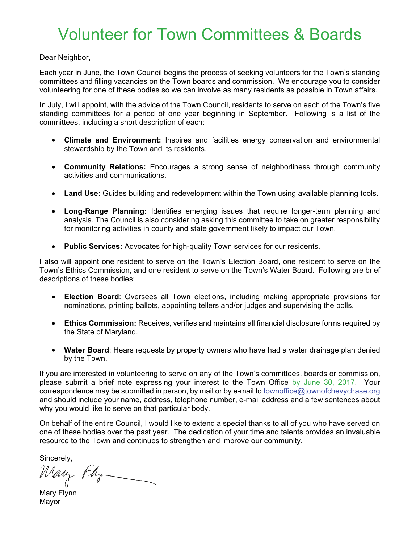# Volunteer for Town Committees & Boards

Dear Neighbor,

Each year in June, the Town Council begins the process of seeking volunteers for the Town's standing committees and filling vacancies on the Town boards and commission. We encourage you to consider volunteering for one of these bodies so we can involve as many residents as possible in Town affairs.

In July, I will appoint, with the advice of the Town Council, residents to serve on each of the Town's five standing committees for a period of one year beginning in September. Following is a list of the committees, including a short description of each:

- **Climate and Environment:** Inspires and facilities energy conservation and environmental stewardship by the Town and its residents.
- **Community Relations:** Encourages a strong sense of neighborliness through community activities and communications.
- **Land Use:** Guides building and redevelopment within the Town using available planning tools.
- **Long-Range Planning:** Identifies emerging issues that require longer-term planning and analysis. The Council is also considering asking this committee to take on greater responsibility for monitoring activities in county and state government likely to impact our Town.
- **Public Services:** Advocates for high-quality Town services for our residents.

I also will appoint one resident to serve on the Town's Election Board, one resident to serve on the Town's Ethics Commission, and one resident to serve on the Town's Water Board. Following are brief descriptions of these bodies:

- **Election Board**: Oversees all Town elections, including making appropriate provisions for nominations, printing ballots, appointing tellers and/or judges and supervising the polls.
- **Ethics Commission:** Receives, verifies and maintains all financial disclosure forms required by the State of Maryland.
- **Water Board**: Hears requests by property owners who have had a water drainage plan denied by the Town.

If you are interested in volunteering to serve on any of the Town's committees, boards or commission, please submit a brief note expressing your interest to the Town Office by June 30, 2017. Your correspondence may be submitted in person, by mail or by e-mail to townoffice@townofchevychase.org and should include your name, address, telephone number, e-mail address and a few sentences about why you would like to serve on that particular body.

On behalf of the entire Council, I would like to extend a special thanks to all of you who have served on one of these bodies over the past year. The dedication of your time and talents provides an invaluable resource to the Town and continues to strengthen and improve our community.

Sincerely,

Mary Flyn

Mary Flynn Mayor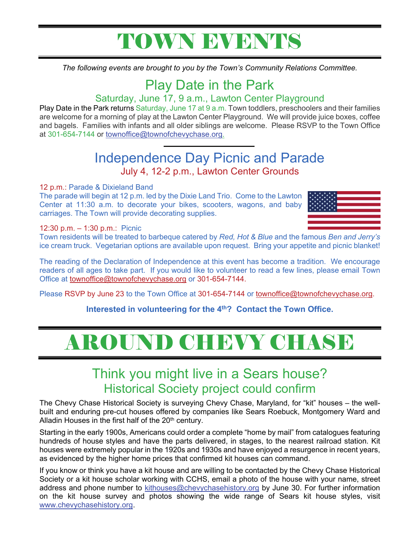# TOWN EVENTS

*The following events are brought to you by the Town's Community Relations Committee.*

## Play Date in the Park

### Saturday, June 17, 9 a.m., Lawton Center Playground

Play Date in the Park returns Saturday, June 17 at 9 a.m. Town toddlers, preschoolers and their families are welcome for a morning of play at the Lawton Center Playground. We will provide juice boxes, coffee and bagels. Families with infants and all older siblings are welcome. Please RSVP to the Town Office at 301-654-7144 or townoffice@townofchevychase.org.

## Independence Day Picnic and Parade July 4, 12-2 p.m., Lawton Center Grounds

### 12 p.m.: Parade & Dixieland Band

The parade will begin at 12 p.m. led by the Dixie Land Trio. Come to the Lawton Center at 11:30 a.m. to decorate your bikes, scooters, wagons, and baby carriages. The Town will provide decorating supplies.



### 12:30 p.m. – 1:30 p.m.: Picnic

Town residents will be treated to barbeque catered by *Red, Hot & Blue* and the famous *Ben and Jerry's* ice cream truck. Vegetarian options are available upon request. Bring your appetite and picnic blanket!

The reading of the Declaration of Independence at this event has become a tradition. We encourage readers of all ages to take part. If you would like to volunteer to read a few lines, please email Town Office at townoffice@townofchevychase.org or 301-654-7144.

Please RSVP by June 23 to the Town Office at 301-654-7144 or townoffice@townofchevychase.org.

### Interested in volunteering for the 4<sup>th</sup>? Contact the Town Office.

# AROUND CHEVY CHASE

# Think you might live in a Sears house? Historical Society project could confirm<br>The Chevy Chase Historical Society is surveying Chevy Chase, Maryland, for "kit" houses – the well-

built and enduring pre-cut houses offered by companies like Sears Roebuck, Montgomery Ward and Alladin Houses in the first half of the 20<sup>th</sup> century.

Starting in the early 1900s, Americans could order a complete "home by mail" from catalogues featuring hundreds of house styles and have the parts delivered, in stages, to the nearest railroad station. Kit houses were extremely popular in the 1920s and 1930s and have enjoyed a resurgence in recent years, as evidenced by the higher home prices that confirmed kit houses can command.

If you know or think you have a kit house and are willing to be contacted by the Chevy Chase Historical Society or a kit house scholar working with CCHS, email a photo of the house with your name, street address and phone number to kithouses@chevychasehistory.org by June 30. For further information on the kit house survey and photos showing the wide range of Sears kit house styles, visit www.chevychasehistory.org.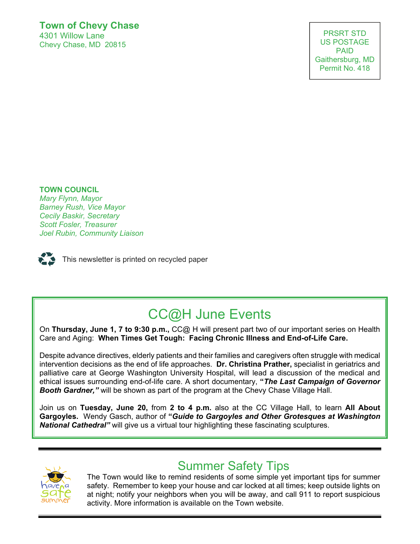### **Town of Chevy Chase**

4301 Willow Lane Chevy Chase, MD 20815

PRSRT STD US POSTAGE PAID Gaithersburg, MD Permit No. 418

US POSTAGE AND THE POSTAGE AND THE POSTAGE AND THE POSTAGE AND THE POSTAGE AND THE POSTAGE AND THE POSTAGE AND

### **TOWN COUNCIL**

*Joel Rubin, Community Liaison Mary Flynn, Mayor*  **Scott Fosler, Treasurer** *Scott Fosler, Treasurer Barney Rush, Vice Mayor Cecily Baskir, Secretary Joel Rubin, Community Liaison* 



This newsletter is printed on recycled paper

## CC@H June Events

On **Thursday, June 1, 7 to 9:30 p.m.,** CC@ H will present part two of our important series on Health Care and Aging: **When Times Get Tough: Facing Chronic Illness and End-of-Life Care.** 

Despite advance directives, elderly patients and their families and caregivers often struggle with medical intervention decisions as the end of life approaches. **Dr. Christina Prather,** specialist in geriatrics and palliative care at George Washington University Hospital, will lead a discussion of the medical and ethical issues surrounding end-of-life care. A short documentary, **"***The Last Campaign of Governor Booth Gardner,"* will be shown as part of the program at the Chevy Chase Village Hall.

Join us on **Tuesday, June 20,** from **2 to 4 p.m.** also at the CC Village Hall, to learn **All About Gargoyles.** Wendy Gasch, author of **"***Guide to Gargoyles and Other Grotesques at Washington National Cathedral"* will give us a virtual tour highlighting these fascinating sculptures.



### Summer Safety Tips

The Town would like to remind residents of some simple yet important tips for summer safety. Remember to keep your house and car locked at all times; keep outside lights on at night; notify your neighbors when you will be away, and call 911 to report suspicious activity. More information is available on the Town website.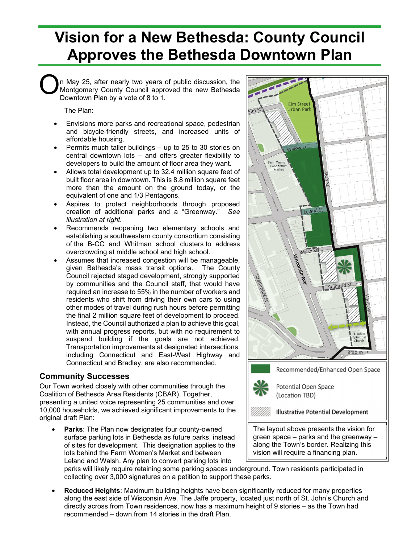## **Vision for a New Bethesda: County Council Approves the Bethesda Downtown Plan**

n May 25, after nearly two years of public discussion, the Montgomery County Council approved the new Bethesda Downtown Plan by a vote of 8 to 1. O

The Plan:

- Envisions more parks and recreational space, pedestrian and bicycle-friendly streets, and increased units of affordable housing.
- Permits much taller buildings up to 25 to 30 stories on central downtown lots – and offers greater flexibility to developers to build the amount of floor area they want.
- Allows total development up to 32.4 million square feet of built floor area in downtown. This is 8.8 million square feet more than the amount on the ground today, or the equivalent of one and 1/3 Pentagons.
- Aspires to protect neighborhoods through proposed creation of additional parks and a "Greenway." *See illustration at right.*
- Recommends reopening two elementary schools and establishing a southwestern county consortium consisting of the B-CC and Whitman school clusters to address overcrowding at middle school and high school.
- Assumes that increased congestion will be manageable, given Bethesda's mass transit options. The County Council rejected staged development, strongly supported by communities and the Council staff, that would have required an increase to 55% in the number of workers and residents who shift from driving their own cars to using other modes of travel during rush hours before permitting the final 2 million square feet of development to proceed. Instead, the Council authorized a plan to achieve this goal, with annual progress reports, but with no requirement to suspend building if the goals are not achieved. Transportation improvements at designated intersections, including Connecticut and East-West Highway and Connecticut and Bradley, are also recommended.

### **Community Successes**

Our Town worked closely with other communities through the Coalition of Bethesda Area Residents (CBAR). Together, presenting a united voice representing 25 communities and over 10,000 households, we achieved significant improvements to the original draft Plan:

Parks: The Plan now designates four county-owned surface parking lots in Bethesda as future parks, instead of sites for development. This designation applies to the lots behind the Farm Women's Market and between Leland and Walsh. Any plan to convert parking lots into



parks will likely require retaining some parking spaces underground. Town residents participated in collecting over 3,000 signatures on a petition to support these parks.

• **Reduced Heights**: Maximum building heights have been significantly reduced for many properties along the east side of Wisconsin Ave. The Jaffe property, located just north of St. John's Church and directly across from Town residences, now has a maximum height of 9 stories – as the Town had recommended – down from 14 stories in the draft Plan.